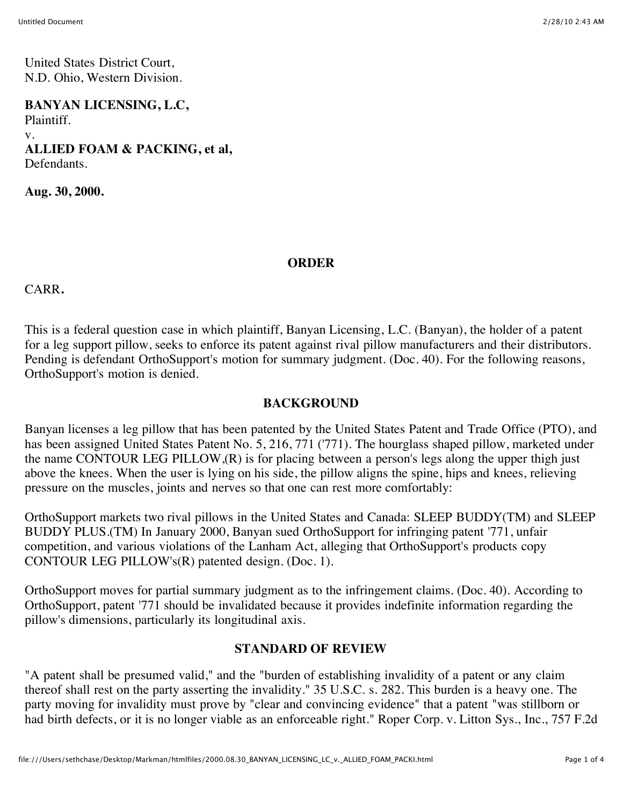United States District Court, N.D. Ohio, Western Division.

**BANYAN LICENSING, L.C,** Plaintiff. v. **ALLIED FOAM & PACKING, et al,** Defendants.

**Aug. 30, 2000.**

## **ORDER**

CARR**.**

This is a federal question case in which plaintiff, Banyan Licensing, L.C. (Banyan), the holder of a patent for a leg support pillow, seeks to enforce its patent against rival pillow manufacturers and their distributors. Pending is defendant OrthoSupport's motion for summary judgment. (Doc. 40). For the following reasons, OrthoSupport's motion is denied.

## **BACKGROUND**

Banyan licenses a leg pillow that has been patented by the United States Patent and Trade Office (PTO), and has been assigned United States Patent No. 5, 216, 771 ('771). The hourglass shaped pillow, marketed under the name CONTOUR LEG PILLOW,(R) is for placing between a person's legs along the upper thigh just above the knees. When the user is lying on his side, the pillow aligns the spine, hips and knees, relieving pressure on the muscles, joints and nerves so that one can rest more comfortably:

OrthoSupport markets two rival pillows in the United States and Canada: SLEEP BUDDY(TM) and SLEEP BUDDY PLUS.(TM) In January 2000, Banyan sued OrthoSupport for infringing patent '771, unfair competition, and various violations of the Lanham Act, alleging that OrthoSupport's products copy CONTOUR LEG PILLOW's(R) patented design. (Doc. 1).

OrthoSupport moves for partial summary judgment as to the infringement claims. (Doc. 40). According to OrthoSupport, patent '771 should be invalidated because it provides indefinite information regarding the pillow's dimensions, particularly its longitudinal axis.

## **STANDARD OF REVIEW**

"A patent shall be presumed valid," and the "burden of establishing invalidity of a patent or any claim thereof shall rest on the party asserting the invalidity." 35 U.S.C. s. 282. This burden is a heavy one. The party moving for invalidity must prove by "clear and convincing evidence" that a patent "was stillborn or had birth defects, or it is no longer viable as an enforceable right." Roper Corp. v. Litton Sys., Inc., 757 F.2d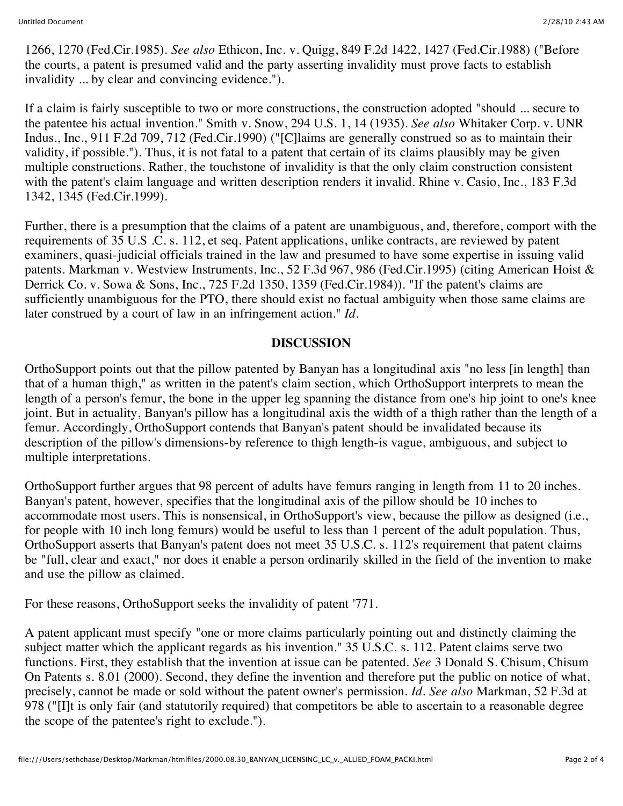1266, 1270 (Fed.Cir.1985). *See also* Ethicon, Inc. v. Quigg, 849 F.2d 1422, 1427 (Fed.Cir.1988) ("Before the courts, a patent is presumed valid and the party asserting invalidity must prove facts to establish invalidity ... by clear and convincing evidence.").

If a claim is fairly susceptible to two or more constructions, the construction adopted "should ... secure to the patentee his actual invention." Smith v. Snow, 294 U.S. 1, 14 (1935). *See also* Whitaker Corp. v. UNR Indus., Inc., 911 F.2d 709, 712 (Fed.Cir.1990) ("[C]laims are generally construed so as to maintain their validity, if possible."). Thus, it is not fatal to a patent that certain of its claims plausibly may be given multiple constructions. Rather, the touchstone of invalidity is that the only claim construction consistent with the patent's claim language and written description renders it invalid. Rhine v. Casio, Inc., 183 F.3d 1342, 1345 (Fed.Cir.1999).

Further, there is a presumption that the claims of a patent are unambiguous, and, therefore, comport with the requirements of 35 U.S .C. s. 112, et seq. Patent applications, unlike contracts, are reviewed by patent examiners, quasi-judicial officials trained in the law and presumed to have some expertise in issuing valid patents. Markman v. Westview Instruments, Inc., 52 F.3d 967, 986 (Fed.Cir.1995) (citing American Hoist & Derrick Co. v. Sowa & Sons, Inc., 725 F.2d 1350, 1359 (Fed.Cir.1984)). "If the patent's claims are sufficiently unambiguous for the PTO, there should exist no factual ambiguity when those same claims are later construed by a court of law in an infringement action." *Id.*

## **DISCUSSION**

OrthoSupport points out that the pillow patented by Banyan has a longitudinal axis "no less [in length] than that of a human thigh," as written in the patent's claim section, which OrthoSupport interprets to mean the length of a person's femur, the bone in the upper leg spanning the distance from one's hip joint to one's knee joint. But in actuality, Banyan's pillow has a longitudinal axis the width of a thigh rather than the length of a femur. Accordingly, OrthoSupport contends that Banyan's patent should be invalidated because its description of the pillow's dimensions-by reference to thigh length-is vague, ambiguous, and subject to multiple interpretations.

OrthoSupport further argues that 98 percent of adults have femurs ranging in length from 11 to 20 inches. Banyan's patent, however, specifies that the longitudinal axis of the pillow should be 10 inches to accommodate most users. This is nonsensical, in OrthoSupport's view, because the pillow as designed (i.e., for people with 10 inch long femurs) would be useful to less than 1 percent of the adult population. Thus, OrthoSupport asserts that Banyan's patent does not meet 35 U.S.C. s. 112's requirement that patent claims be "full, clear and exact," nor does it enable a person ordinarily skilled in the field of the invention to make and use the pillow as claimed.

For these reasons, OrthoSupport seeks the invalidity of patent '771.

A patent applicant must specify "one or more claims particularly pointing out and distinctly claiming the subject matter which the applicant regards as his invention." 35 U.S.C. s. 112. Patent claims serve two functions. First, they establish that the invention at issue can be patented. *See* 3 Donald S. Chisum, Chisum On Patents s. 8.01 (2000). Second, they define the invention and therefore put the public on notice of what, precisely, cannot be made or sold without the patent owner's permission. *Id. See also* Markman, 52 F.3d at 978 ("[I]t is only fair (and statutorily required) that competitors be able to ascertain to a reasonable degree the scope of the patentee's right to exclude.").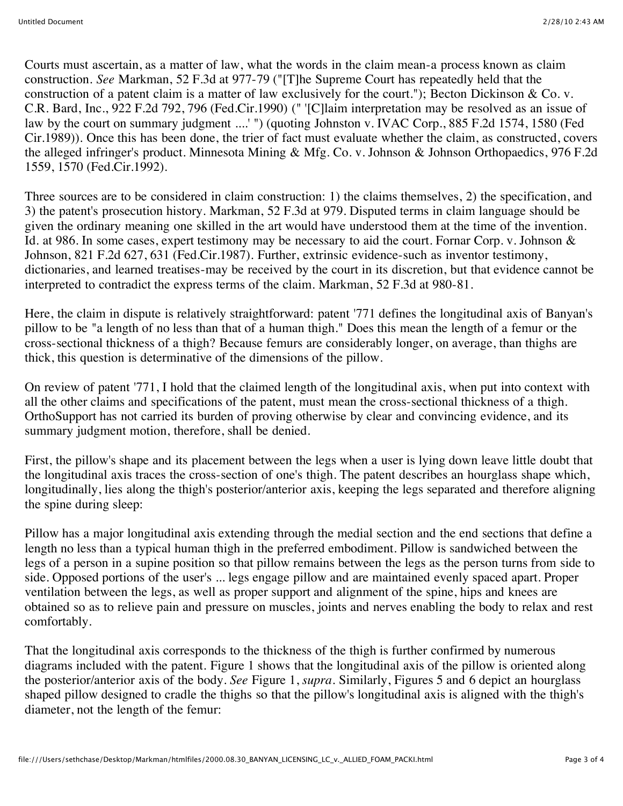Courts must ascertain, as a matter of law, what the words in the claim mean-a process known as claim construction. *See* Markman, 52 F.3d at 977-79 ("[T]he Supreme Court has repeatedly held that the construction of a patent claim is a matter of law exclusively for the court."); Becton Dickinson & Co. v. C.R. Bard, Inc., 922 F.2d 792, 796 (Fed.Cir.1990) (" '[C]laim interpretation may be resolved as an issue of law by the court on summary judgment ....' ") (quoting Johnston v. IVAC Corp., 885 F.2d 1574, 1580 (Fed Cir.1989)). Once this has been done, the trier of fact must evaluate whether the claim, as constructed, covers the alleged infringer's product. Minnesota Mining & Mfg. Co. v. Johnson & Johnson Orthopaedics, 976 F.2d 1559, 1570 (Fed.Cir.1992).

Three sources are to be considered in claim construction: 1) the claims themselves, 2) the specification, and 3) the patent's prosecution history. Markman, 52 F.3d at 979. Disputed terms in claim language should be given the ordinary meaning one skilled in the art would have understood them at the time of the invention. Id. at 986. In some cases, expert testimony may be necessary to aid the court. Fornar Corp. v. Johnson & Johnson, 821 F.2d 627, 631 (Fed.Cir.1987). Further, extrinsic evidence-such as inventor testimony, dictionaries, and learned treatises-may be received by the court in its discretion, but that evidence cannot be interpreted to contradict the express terms of the claim. Markman, 52 F.3d at 980-81.

Here, the claim in dispute is relatively straightforward: patent '771 defines the longitudinal axis of Banyan's pillow to be "a length of no less than that of a human thigh." Does this mean the length of a femur or the cross-sectional thickness of a thigh? Because femurs are considerably longer, on average, than thighs are thick, this question is determinative of the dimensions of the pillow.

On review of patent '771, I hold that the claimed length of the longitudinal axis, when put into context with all the other claims and specifications of the patent, must mean the cross-sectional thickness of a thigh. OrthoSupport has not carried its burden of proving otherwise by clear and convincing evidence, and its summary judgment motion, therefore, shall be denied.

First, the pillow's shape and its placement between the legs when a user is lying down leave little doubt that the longitudinal axis traces the cross-section of one's thigh. The patent describes an hourglass shape which, longitudinally, lies along the thigh's posterior/anterior axis, keeping the legs separated and therefore aligning the spine during sleep:

Pillow has a major longitudinal axis extending through the medial section and the end sections that define a length no less than a typical human thigh in the preferred embodiment. Pillow is sandwiched between the legs of a person in a supine position so that pillow remains between the legs as the person turns from side to side. Opposed portions of the user's ... legs engage pillow and are maintained evenly spaced apart. Proper ventilation between the legs, as well as proper support and alignment of the spine, hips and knees are obtained so as to relieve pain and pressure on muscles, joints and nerves enabling the body to relax and rest comfortably.

That the longitudinal axis corresponds to the thickness of the thigh is further confirmed by numerous diagrams included with the patent. Figure 1 shows that the longitudinal axis of the pillow is oriented along the posterior/anterior axis of the body. *See* Figure 1, *supra.* Similarly, Figures 5 and 6 depict an hourglass shaped pillow designed to cradle the thighs so that the pillow's longitudinal axis is aligned with the thigh's diameter, not the length of the femur: